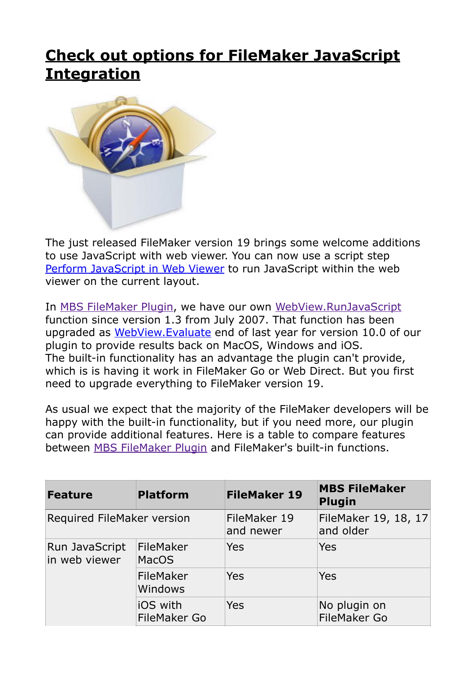## **[Check out options for FileMaker JavaScript](https://www.mbs-plugins.com/archive/2020-05-21/Check_out_options_for_FileMake/monkeybreadsoftware_blog_filemaker)  [Integration](https://www.mbs-plugins.com/archive/2020-05-21/Check_out_options_for_FileMake/monkeybreadsoftware_blog_filemaker)**



The just released FileMaker version 19 brings some welcome additions to use JavaScript with web viewer. You can now use a script step [Perform JavaScript in Web Viewer](https://help.claris.com/en/pro-help/FMP_Help/perform-javascript-in-web-viewer.html#) to run JavaScript within the web viewer on the current layout.

In [MBS FileMaker Plugin,](https://www.monkeybreadsoftware.com/filemaker/) we have our own [WebView.RunJavaScript](https://www.mbsplugins.eu/WebViewRunJavaScript.shtml) function since version 1.3 from July 2007. That function has been upgraded as [WebView.Evaluate](https://www.mbsplugins.eu/WebViewEvaluate.shtml) end of last year for version 10.0 of our plugin to provide results back on MacOS, Windows and iOS. The built-in functionality has an advantage the plugin can't provide, which is is having it work in FileMaker Go or Web Direct. But you first need to upgrade everything to FileMaker version 19.

As usual we expect that the majority of the FileMaker developers will be happy with the built-in functionality, but if you need more, our plugin can provide additional features. Here is a table to compare features between [MBS FileMaker Plugin](https://www.monkeybreadsoftware.com/filemaker/) and FileMaker's built-in functions.

| <b>Feature</b>                  | <b>Platform</b>                 | <b>FileMaker 19</b>       | <b>MBS FileMaker</b><br><b>Plugin</b> |
|---------------------------------|---------------------------------|---------------------------|---------------------------------------|
| Required FileMaker version      |                                 | FileMaker 19<br>and newer | FileMaker 19, 18, 17<br>and older     |
| Run JavaScript<br>in web viewer | FileMaker<br><b>MacOS</b>       | <b>Yes</b>                | <b>Yes</b>                            |
|                                 | FileMaker<br>Windows            | <b>Yes</b>                | Yes                                   |
|                                 | iOS with<br><b>FileMaker Go</b> | Yes                       | No plugin on<br><b>FileMaker Go</b>   |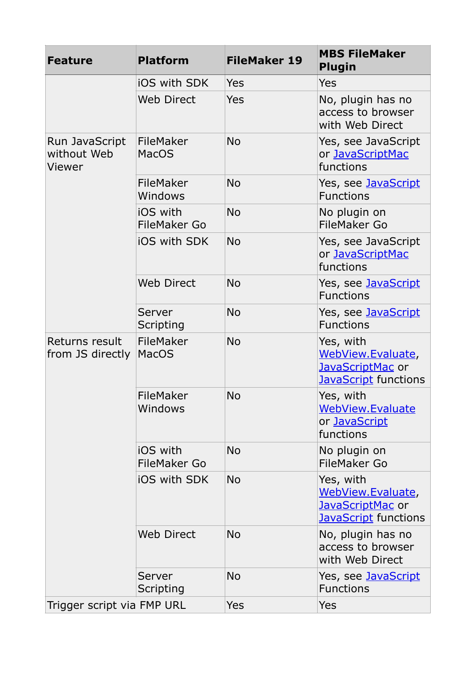| <b>Feature</b>                          | <b>Platform</b>                 | <b>FileMaker 19</b> | <b>MBS FileMaker</b><br><b>Plugin</b>                                             |
|-----------------------------------------|---------------------------------|---------------------|-----------------------------------------------------------------------------------|
|                                         | <b>iOS with SDK</b>             | Yes                 | Yes                                                                               |
|                                         | <b>Web Direct</b>               | Yes                 | No, plugin has no<br>access to browser<br>with Web Direct                         |
| Run JavaScript<br>without Web<br>Viewer | FileMaker<br><b>MacOS</b>       | <b>No</b>           | Yes, see JavaScript<br>or JavaScriptMac<br>functions                              |
|                                         | FileMaker<br>Windows            | <b>No</b>           | Yes, see JavaScript<br><b>Functions</b>                                           |
|                                         | iOS with<br><b>FileMaker Go</b> | <b>No</b>           | No plugin on<br><b>FileMaker Go</b>                                               |
|                                         | <b>iOS with SDK</b>             | <b>No</b>           | Yes, see JavaScript<br>or JavaScriptMac<br>functions                              |
|                                         | <b>Web Direct</b>               | <b>No</b>           | Yes, see JavaScript<br><b>Functions</b>                                           |
|                                         | Server<br>Scripting             | <b>No</b>           | Yes, see JavaScript<br><b>Functions</b>                                           |
| Returns result<br>from JS directly      | FileMaker<br><b>MacOS</b>       | <b>No</b>           | Yes, with<br>WebView.Evaluate,<br>JavaScriptMac or<br><b>JavaScript</b> functions |
|                                         | FileMaker<br>Windows            | <b>No</b>           | Yes, with<br><b>WebView.Evaluate</b><br>or JavaScript<br>functions                |
|                                         | iOS with<br><b>FileMaker Go</b> | <b>No</b>           | No plugin on<br><b>FileMaker Go</b>                                               |
|                                         | <b>iOS with SDK</b>             | <b>No</b>           | Yes, with<br>WebView.Evaluate,<br>JavaScriptMac or<br>JavaScript functions        |
|                                         | <b>Web Direct</b>               | <b>No</b>           | No, plugin has no<br>access to browser<br>with Web Direct                         |
|                                         | Server<br>Scripting             | <b>No</b>           | Yes, see JavaScript<br><b>Functions</b>                                           |
| Trigger script via FMP URL              |                                 | <b>Yes</b>          | <b>Yes</b>                                                                        |